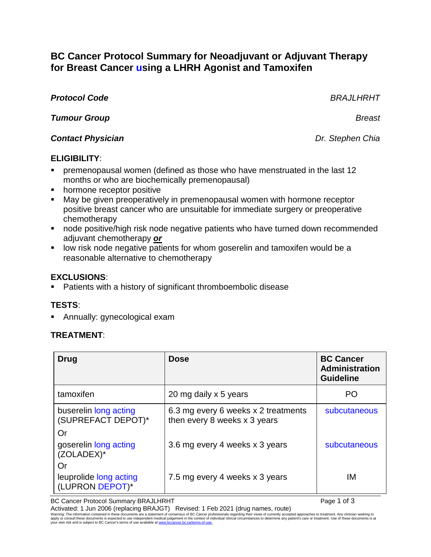# **BC Cancer Protocol Summary for Neoadjuvant or Adjuvant Therapy for Breast Cancer using a LHRH Agonist and Tamoxifen**

# *Protocol Code BRAJLHRHT*

*Tumour Group Breast*

## *Contact Physician Dr. Stephen Chia*

## **ELIGIBILITY**:

- premenopausal women (defined as those who have menstruated in the last 12 months or who are biochemically premenopausal)
- hormone receptor positive
- May be given preoperatively in premenopausal women with hormone receptor positive breast cancer who are unsuitable for immediate surgery or preoperative chemotherapy
- node positive/high risk node negative patients who have turned down recommended adjuvant chemotherapy *or*
- **IDED** 1000 is low risk node negative patients for whom goserelin and tamoxifen would be a reasonable alternative to chemotherapy

# **EXCLUSIONS**:

Patients with a history of significant thromboembolic disease

# **TESTS**:

Annually: gynecological exam

#### **TREATMENT**:

| Drug                                            | <b>Dose</b>                                                         | <b>BC Cancer</b><br><b>Administration</b><br><b>Guideline</b> |
|-------------------------------------------------|---------------------------------------------------------------------|---------------------------------------------------------------|
| tamoxifen                                       | 20 mg daily x 5 years                                               | PO                                                            |
| buserelin long acting<br>(SUPREFACT DEPOT)*     | 6.3 mg every 6 weeks x 2 treatments<br>then every 8 weeks x 3 years | subcutaneous                                                  |
| Or<br>goserelin long acting<br>(ZOLADEX)*       | 3.6 mg every 4 weeks x 3 years                                      | subcutaneous                                                  |
| Or<br>leuprolide long acting<br>(LUPRON DEPOT)* | 7.5 mg every 4 weeks x 3 years                                      | ΙM                                                            |

BC Cancer Protocol Summary BRAJLHRHT **Page 1 of 3** and 3

Activated: 1 Jun 2006 (replacing BRAJGT) Revised: 1 Feb 2021 (drug names, route)<br>Waming: The information contained in these documents are a statement of consensus of BC Carcer professionals regarding their views of current your own risk and is subject to BC Cancer's terms of use available at www.bcc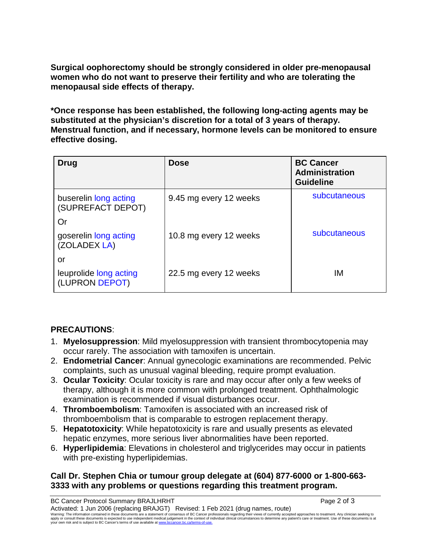**Surgical oophorectomy should be strongly considered in older pre-menopausal women who do not want to preserve their fertility and who are tolerating the menopausal side effects of therapy.**

**\*Once response has been established, the following long-acting agents may be substituted at the physician's discretion for a total of 3 years of therapy. Menstrual function, and if necessary, hormone levels can be monitored to ensure effective dosing.** 

| Drug                                       | <b>Dose</b>            | <b>BC Cancer</b><br><b>Administration</b><br><b>Guideline</b> |
|--------------------------------------------|------------------------|---------------------------------------------------------------|
| buserelin long acting<br>(SUPREFACT DEPOT) | 9.45 mg every 12 weeks | subcutaneous                                                  |
| Or<br>goserelin long acting                | 10.8 mg every 12 weeks | subcutaneous                                                  |
| (ZOLADEX LA)                               |                        |                                                               |
| or                                         |                        |                                                               |
| leuprolide long acting<br>(LUPRON DEPOT)   | 22.5 mg every 12 weeks | IМ                                                            |

# **PRECAUTIONS**:

- 1. **Myelosuppression**: Mild myelosuppression with transient thrombocytopenia may occur rarely. The association with tamoxifen is uncertain.
- 2. **Endometrial Cancer**: Annual gynecologic examinations are recommended. Pelvic complaints, such as unusual vaginal bleeding, require prompt evaluation.
- 3. **Ocular Toxicity**: Ocular toxicity is rare and may occur after only a few weeks of therapy, although it is more common with prolonged treatment. Ophthalmologic examination is recommended if visual disturbances occur.
- 4. **Thromboembolism**: Tamoxifen is associated with an increased risk of thromboembolism that is comparable to estrogen replacement therapy.
- 5. **Hepatotoxicity**: While hepatotoxicity is rare and usually presents as elevated hepatic enzymes, more serious liver abnormalities have been reported.
- 6. **Hyperlipidemia**: Elevations in cholesterol and triglycerides may occur in patients with pre-existing hyperlipidemias.

## **Call Dr. Stephen Chia or tumour group delegate at (604) 877-6000 or 1-800-663- 3333 with any problems or questions regarding this treatment program.**